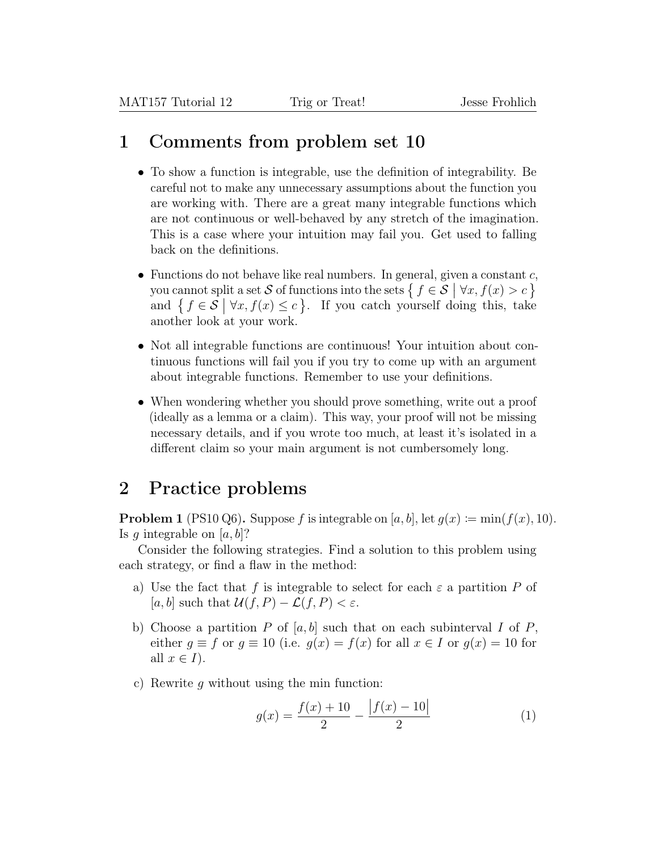## 1 Comments from problem set 10

- To show a function is integrable, use the definition of integrability. Be careful not to make any unnecessary assumptions about the function you are working with. There are a great many integrable functions which are not continuous or well-behaved by any stretch of the imagination. This is a case where your intuition may fail you. Get used to falling back on the definitions.
- Functions do not behave like real numbers. In general, given a constant  $c$ , you cannot split a set S of functions into the sets  $\{f \in S \mid \forall x, f(x) > c\}$ and  $\{f \in \mathcal{S} \mid \forall x, f(x) \leq c\}$ . If you catch yourself doing this, take another look at your work.
- Not all integrable functions are continuous! Your intuition about continuous functions will fail you if you try to come up with an argument about integrable functions. Remember to use your definitions.
- When wondering whether you should prove something, write out a proof (ideally as a lemma or a claim). This way, your proof will not be missing necessary details, and if you wrote too much, at least it's isolated in a different claim so your main argument is not cumbersomely long.

## 2 Practice problems

**Problem 1** (PS10 Q6). Suppose f is integrable on [a, b], let  $g(x) := min(f(x), 10)$ . Is q integrable on  $[a, b]$ ?

Consider the following strategies. Find a solution to this problem using each strategy, or find a flaw in the method:

- a) Use the fact that f is integrable to select for each  $\varepsilon$  a partition P of [a, b] such that  $\mathcal{U}(f, P) - \mathcal{L}(f, P) < \varepsilon$ .
- b) Choose a partition P of  $[a, b]$  such that on each subinterval I of P, either  $g \equiv f$  or  $g \equiv 10$  (i.e.  $g(x) = f(x)$  for all  $x \in I$  or  $g(x) = 10$  for all  $x \in I$ ).
- c) Rewrite q without using the min function:

$$
g(x) = \frac{f(x) + 10}{2} - \frac{|f(x) - 10|}{2} \tag{1}
$$